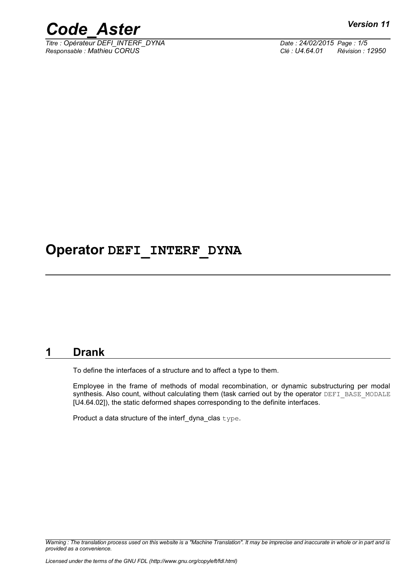



*Titre : Opérateur DEFI\_INTERF\_DYNA Date : 24/02/2015 Page : 1/5 Responsable : Mathieu CORUS Clé : U4.64.01 Révision : 12950*

# **Operator DEFI\_INTERF\_DYNA**

## **1 Drank**

<span id="page-0-0"></span>To define the interfaces of a structure and to affect a type to them.

Employee in the frame of methods of modal recombination, or dynamic substructuring per modal synthesis. Also count, without calculating them (task carried out by the operator DEFI\_BASE\_MODALE [U4.64.02]), the static deformed shapes corresponding to the definite interfaces.

Product a data structure of the interf\_dyna\_clas type.

*Warning : The translation process used on this website is a "Machine Translation". It may be imprecise and inaccurate in whole or in part and is provided as a convenience.*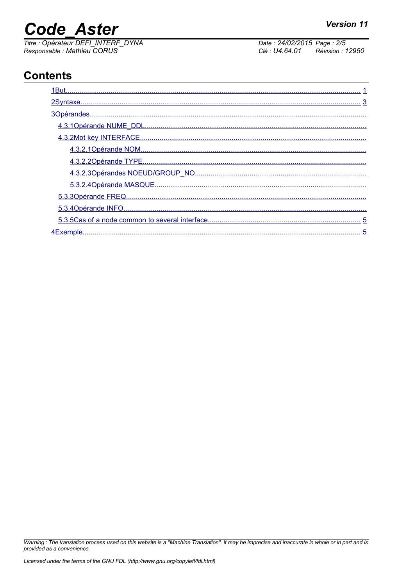# **Code Aster**

Titre : Opérateur DEFI\_INTERF\_DYNA Responsable : Mathieu CORUS

Date: 24/02/2015 Page: 2/5 Révision : 12950 Clé : U4.64.01

# **Contents**

| 5                    |
|----------------------|
| 5<br><b>4Fyemnle</b> |

Warning : The translation process used on this website is a "Machine Translation". It may be imprecise and inaccurate in whole or in part and is provided as a convenience.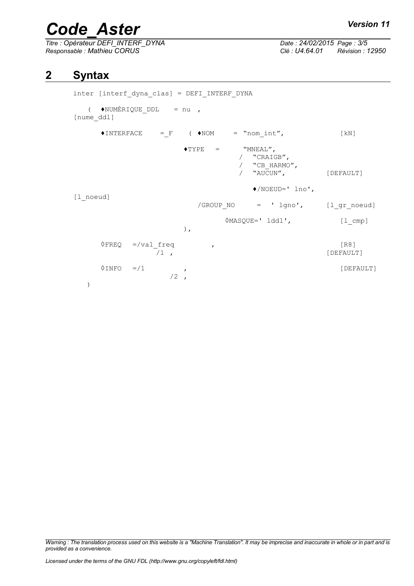# *Code\_Aster Version 11*

*Titre : Opérateur DEFI\_INTERF\_DYNA Date : 24/02/2015 Page : 3/5 Responsable : Mathieu CORUS Clé : U4.64.01 Révision : 12950*

## **2 Syntax**

```
inter [interf_dyna_clas] = DEFI_INTERF_DYNA
   ( \triangleleftNUMÉRIQUE DDL = nu ,
[nume_ddl]
      \triangleINTERFACE = F (\triangleNOM = "nom_int", [kN]
                          \begin{array}{lll} \bullet \textsc{type} & = & \textsc{``MNEAL''}, \end{array}/ "CRAIGB",<br>/ "CB HARMO
                                          / "CB_HARMO",
                                       / "AUCUN", [DEFAULT]
                                          ♦/NOEUD=' lno',
[l_noeud]
                             /GROUP NO = ' lgno', [l_gr_noeud]
                                    ◊MASQUE=' lddl', [l_cmp]
                          ),
      \sqrt{FREQ} =/val_freq , (R8)<br>
\sqrt{1}, (DEFAULT)
                                                            [DEFAULT]
      \DiamondINFO =/1 ,
                       /2)
```
*Warning : The translation process used on this website is a "Machine Translation". It may be imprecise and inaccurate in whole or in part and is provided as a convenience.*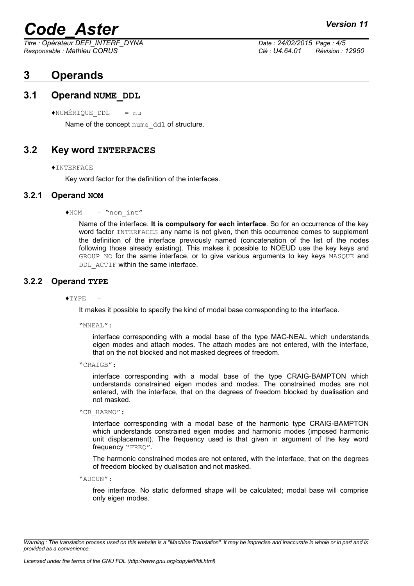# *Code\_Aster Version 11*

*Titre : Opérateur DEFI\_INTERF\_DYNA Date : 24/02/2015 Page : 4/5 Responsable : Mathieu CORUS Clé : U4.64.01 Révision : 12950*

## <span id="page-3-4"></span>**3 Operands**

### **3.1 Operand NUME\_DDL**

<span id="page-3-3"></span> $*$ NUMÉRIQUE DDL = nu

Name of the concept nume ddl of structure.

### **3.2 Key word INTERFACES**

#### <span id="page-3-2"></span>♦INTERFACE

<span id="page-3-1"></span>Key word factor for the definition of the interfaces.

#### **3.2.1 Operand NOM**

#### $NOM = Nnom$  int"

Name of the interface. **It is compulsory for each interface**. So for an occurrence of the key word factor INTERFACES any name is not given, then this occurrence comes to supplement the definition of the interface previously named (concatenation of the list of the nodes following those already existing). This makes it possible to NOEUD use the key keys and GROUP\_NO for the same interface, or to give various arguments to key keys MASQUE and DDL ACTIF within the same interface.

#### **3.2.2 Operand TYPE**

<span id="page-3-0"></span> $\triangle$ TYPE  $=$ 

It makes it possible to specify the kind of modal base corresponding to the interface.

"MNEAL":

interface corresponding with a modal base of the type MAC-NEAL which understands eigen modes and attach modes. The attach modes are not entered, with the interface, that on the not blocked and not masked degrees of freedom.

"CRAIGB":

interface corresponding with a modal base of the type CRAIG-BAMPTON which understands constrained eigen modes and modes. The constrained modes are not entered, with the interface, that on the degrees of freedom blocked by dualisation and not masked.

"CB\_HARMO":

interface corresponding with a modal base of the harmonic type CRAIG-BAMPTON which understands constrained eigen modes and harmonic modes (imposed harmonic unit displacement). The frequency used is that given in argument of the key word frequency "FREO".

The harmonic constrained modes are not entered, with the interface, that on the degrees of freedom blocked by dualisation and not masked.

"AUCUN":

free interface. No static deformed shape will be calculated; modal base will comprise only eigen modes.

*Warning : The translation process used on this website is a "Machine Translation". It may be imprecise and inaccurate in whole or in part and is provided as a convenience.*